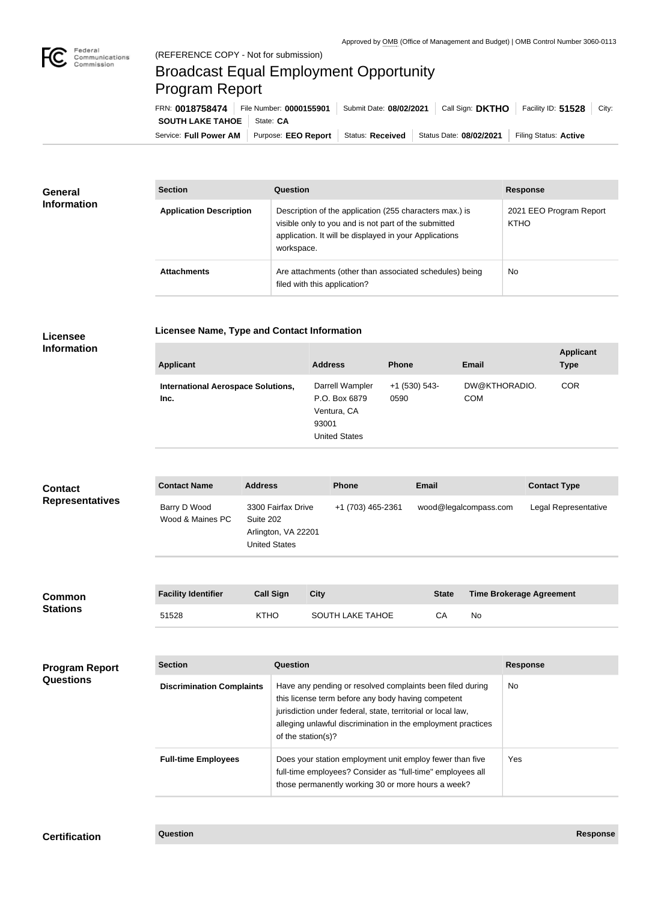

## Broadcast Equal Employment Opportunity Program Report

**Licensee Name, Type and Contact Information**

Service: Full Power AM | Purpose: EEO Report | Status: Received | Status Date: 08/02/2021 | Filing Status: Active **SOUTH LAKE TAHOE** | State: CA FRN: **0018758474** File Number: **0000155901** Submit Date: **08/02/2021** Call Sign: **DKTHO** Facility ID: **51528** City:

| <b>General</b><br><b>Information</b> | <b>Section</b>                 | <b>Question</b>                                                                                                                                                                         | <b>Response</b>                        |
|--------------------------------------|--------------------------------|-----------------------------------------------------------------------------------------------------------------------------------------------------------------------------------------|----------------------------------------|
|                                      | <b>Application Description</b> | Description of the application (255 characters max.) is<br>visible only to you and is not part of the submitted<br>application. It will be displayed in your Applications<br>workspace. | 2021 EEO Program Report<br><b>KTHO</b> |
|                                      | <b>Attachments</b>             | Are attachments (other than associated schedules) being<br>filed with this application?                                                                                                 | No.                                    |

## **Licensee Information**

| <b>Applicant</b>                                  | <b>Address</b>                                                                   | <b>Phone</b>            | <b>Email</b>                | <b>Applicant</b><br><b>Type</b> |
|---------------------------------------------------|----------------------------------------------------------------------------------|-------------------------|-----------------------------|---------------------------------|
| <b>International Aerospace Solutions,</b><br>Inc. | Darrell Wampler<br>P.O. Box 6879<br>Ventura, CA<br>93001<br><b>United States</b> | $+1$ (530) 543-<br>0590 | DW@KTHORADIO.<br><b>COM</b> | <b>COR</b>                      |

| <b>Contact</b>         | <b>Contact Name</b>              | <b>Address</b>                                                          | <b>Phone</b>      | <b>Email</b>          | <b>Contact Type</b>  |
|------------------------|----------------------------------|-------------------------------------------------------------------------|-------------------|-----------------------|----------------------|
| <b>Representatives</b> | Barry D Wood<br>Wood & Maines PC | 3300 Fairfax Drive<br>Suite 202<br>Arlington, VA 22201<br>United States | +1 (703) 465-2361 | wood@legalcompass.com | Legal Representative |

| <b>Common</b><br><b>Stations</b> | <b>Facility Identifier</b> | <b>Call Sign</b> | City             | <b>State</b> | <b>Time Brokerage Agreement</b> |
|----------------------------------|----------------------------|------------------|------------------|--------------|---------------------------------|
|                                  | 51528                      | <b>KTHO</b>      | SOUTH LAKE TAHOE |              | No                              |

| <b>Program Report</b><br><b>Questions</b> | <b>Section</b>                   | Question                                                                                                                                                                                                                                                              | <b>Response</b> |
|-------------------------------------------|----------------------------------|-----------------------------------------------------------------------------------------------------------------------------------------------------------------------------------------------------------------------------------------------------------------------|-----------------|
|                                           | <b>Discrimination Complaints</b> | Have any pending or resolved complaints been filed during<br>this license term before any body having competent<br>jurisdiction under federal, state, territorial or local law,<br>alleging unlawful discrimination in the employment practices<br>of the station(s)? | No.             |
|                                           | <b>Full-time Employees</b>       | Does your station employment unit employ fewer than five<br>full-time employees? Consider as "full-time" employees all<br>those permanently working 30 or more hours a week?                                                                                          | Yes             |